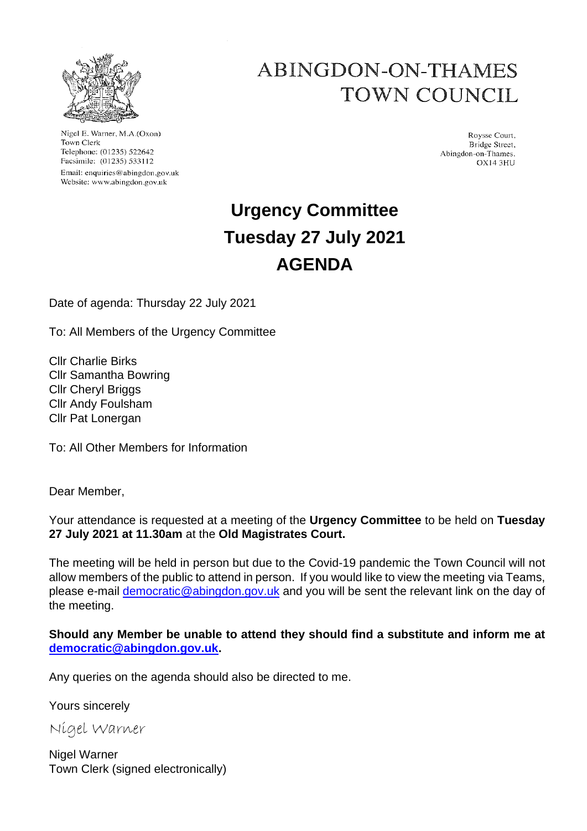

Nigel E. Warner, M.A.(Oxon) Town Clerk Telephone: (01235) 522642 Facsimile: (01235) 533112 Email: enquiries@abingdon.gov.uk Website: www.abingdon.gov.uk

## ABINGDON-ON-THAMES TOWN COUNCIL

Roysse Court, Bridge Street, Abingdon-on-Thames. **OX14 3HU** 

# **Urgency Committee Tuesday 27 July 2021 AGENDA**

Date of agenda: Thursday 22 July 2021

To: All Members of the Urgency Committee

Cllr Charlie Birks Cllr Samantha Bowring Cllr Cheryl Briggs Cllr Andy Foulsham Cllr Pat Lonergan

To: All Other Members for Information

Dear Member,

Your attendance is requested at a meeting of the **Urgency Committee** to be held on **Tuesday 27 July 2021 at 11.30am** at the **Old Magistrates Court.**

The meeting will be held in person but due to the Covid-19 pandemic the Town Council will not allow members of the public to attend in person. If you would like to view the meeting via Teams, please e-mail democratic@abingdon.gov.uk and you will be sent the relevant link on the day of the meeting.

**Should any Member be unable to attend they should find a substitute and inform me at democratic@abingdon.gov.uk.**

Any queries on the agenda should also be directed to me.

Yours sincerely

Nigel Warner

Nigel Warner Town Clerk (signed electronically)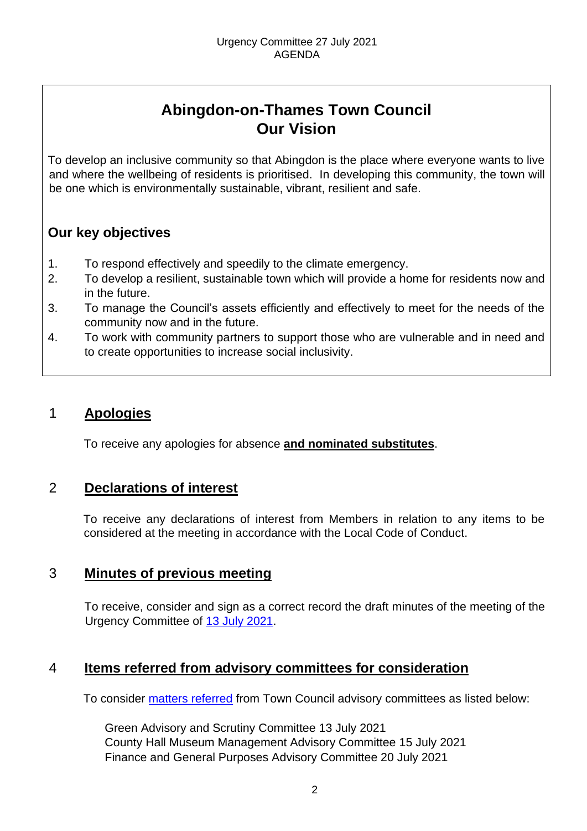## **Abingdon-on-Thames Town Council Our Vision**

To develop an inclusive community so that Abingdon is the place where everyone wants to live and where the wellbeing of residents is prioritised. In developing this community, the town will be one which is environmentally sustainable, vibrant, resilient and safe.

## **Our key objectives**

- 1. To respond effectively and speedily to the climate emergency.
- 2. To develop a resilient, sustainable town which will provide a home for residents now and in the future.
- 3. To manage the Council's assets efficiently and effectively to meet for the needs of the community now and in the future.
- 4. To work with community partners to support those who are vulnerable and in need and to create opportunities to increase social inclusivity.

### 1 **Apologies**

To receive any apologies for absence **and nominated substitutes**.

### 2 **Declarations of interest**

To receive any declarations of interest from Members in relation to any items to be considered at the meeting in accordance with the Local Code of Conduct.

## 3 **Minutes of previous meeting**

To receive, consider and sign as a correct record the draft minutes of the meeting of the Urgency Committee of [13 July 2021.](https://www.abingdon.gov.uk/town-council/meetings-and-committees/urgency-committee)

### 4 **Items referred from advisory committees for consideration**

To consider [matters referred](https://www.abingdon.gov.uk/wp-content/uploads/2021/07/Urgency-Committee-27.7.21-Item-4-Recommendations.pdf) from Town Council advisory committees as listed below:

Green Advisory and Scrutiny Committee 13 July 2021 County Hall Museum Management Advisory Committee 15 July 2021 Finance and General Purposes Advisory Committee 20 July 2021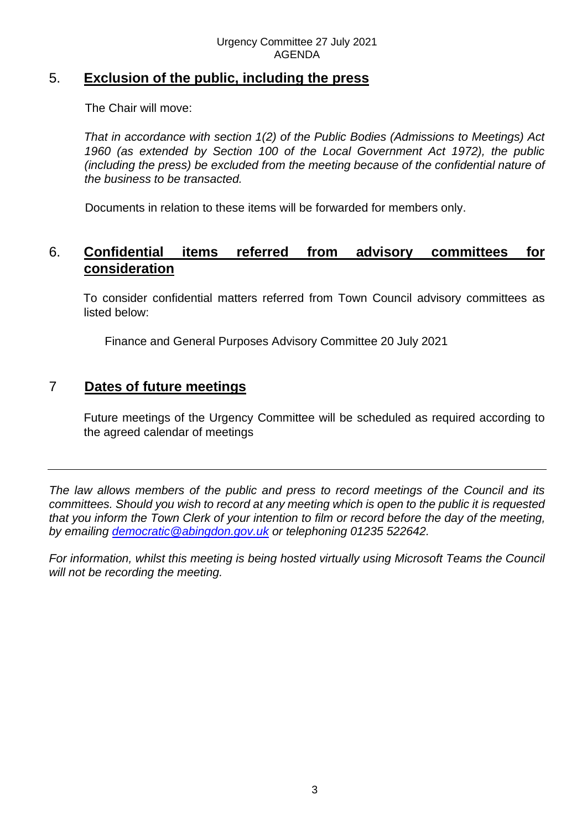## 5. **Exclusion of the public, including the press**

The Chair will move:

*That in accordance with section 1(2) of the Public Bodies (Admissions to Meetings) Act 1960 (as extended by Section 100 of the Local Government Act 1972), the public (including the press) be excluded from the meeting because of the confidential nature of the business to be transacted.*

Documents in relation to these items will be forwarded for members only.

### 6. **Confidential items referred from advisory committees for consideration**

To consider confidential matters referred from Town Council advisory committees as listed below:

Finance and General Purposes Advisory Committee 20 July 2021

### 7 **Dates of future meetings**

Future meetings of the Urgency Committee will be scheduled as required according to the agreed calendar of meetings

*The law allows members of the public and press to record meetings of the Council and its committees. Should you wish to record at any meeting which is open to the public it is requested that you inform the Town Clerk of your intention to film or record before the day of the meeting, by emailing democratic@abingdon.gov.uk or telephoning 01235 522642.* 

*For information, whilst this meeting is being hosted virtually using Microsoft Teams the Council will not be recording the meeting.*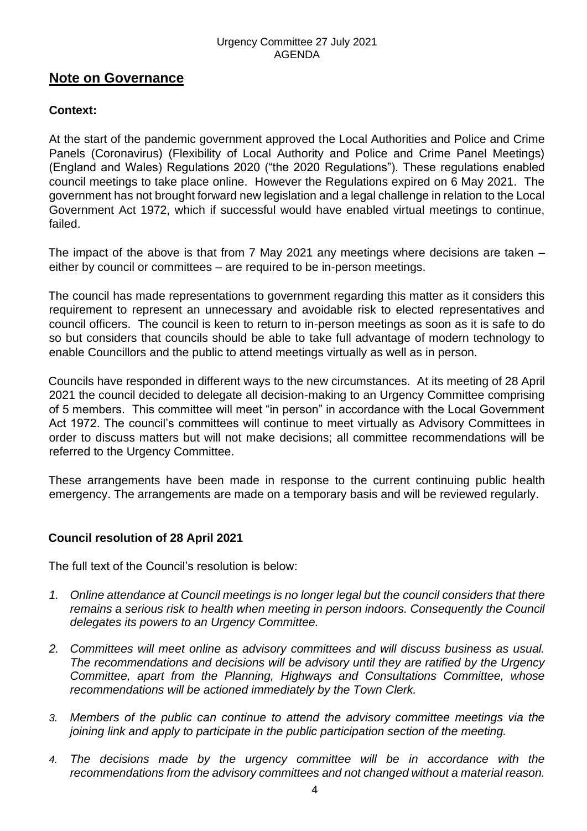#### Urgency Committee 27 July 2021 AGENDA

#### **Note on Governance**

#### **Context:**

At the start of the pandemic government approved the Local Authorities and Police and Crime Panels (Coronavirus) (Flexibility of Local Authority and Police and Crime Panel Meetings) (England and Wales) Regulations 2020 ("the 2020 Regulations"). These regulations enabled council meetings to take place online. However the Regulations expired on 6 May 2021. The government has not brought forward new legislation and a legal challenge in relation to the Local Government Act 1972, which if successful would have enabled virtual meetings to continue, failed.

The impact of the above is that from 7 May 2021 any meetings where decisions are taken – either by council or committees – are required to be in-person meetings.

The council has made representations to government regarding this matter as it considers this requirement to represent an unnecessary and avoidable risk to elected representatives and council officers. The council is keen to return to in-person meetings as soon as it is safe to do so but considers that councils should be able to take full advantage of modern technology to enable Councillors and the public to attend meetings virtually as well as in person.

Councils have responded in different ways to the new circumstances. At its meeting of 28 April 2021 the council decided to delegate all decision-making to an Urgency Committee comprising of 5 members. This committee will meet "in person" in accordance with the Local Government Act 1972. The council's committees will continue to meet virtually as Advisory Committees in order to discuss matters but will not make decisions; all committee recommendations will be referred to the Urgency Committee.

These arrangements have been made in response to the current continuing public health emergency. The arrangements are made on a temporary basis and will be reviewed regularly.

#### **Council resolution of 28 April 2021**

The full text of the Council's resolution is below:

- *1. Online attendance at Council meetings is no longer legal but the council considers that there remains a serious risk to health when meeting in person indoors. Consequently the Council delegates its powers to an Urgency Committee.*
- *2. Committees will meet online as advisory committees and will discuss business as usual. The recommendations and decisions will be advisory until they are ratified by the Urgency Committee, apart from the Planning, Highways and Consultations Committee, whose recommendations will be actioned immediately by the Town Clerk.*
- *3. Members of the public can continue to attend the advisory committee meetings via the joining link and apply to participate in the public participation section of the meeting.*
- *4. The decisions made by the urgency committee will be in accordance with the recommendations from the advisory committees and not changed without a material reason.*